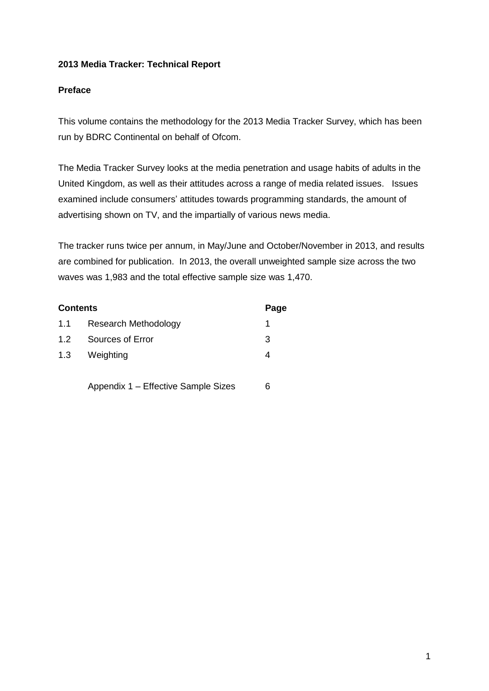## **2013 Media Tracker: Technical Report**

## **Preface**

This volume contains the methodology for the 2013 Media Tracker Survey, which has been run by BDRC Continental on behalf of Ofcom.

The Media Tracker Survey looks at the media penetration and usage habits of adults in the United Kingdom, as well as their attitudes across a range of media related issues. Issues examined include consumers' attitudes towards programming standards, the amount of advertising shown on TV, and the impartially of various news media.

The tracker runs twice per annum, in May/June and October/November in 2013, and results are combined for publication. In 2013, the overall unweighted sample size across the two waves was 1,983 and the total effective sample size was 1,470.

| <b>Contents</b> |                             | Page |  |
|-----------------|-----------------------------|------|--|
| 1.1             | <b>Research Methodology</b> |      |  |
| 1.2             | Sources of Error            | 3    |  |
| 1.3             | Weighting                   | 4    |  |
|                 |                             |      |  |

Appendix 1 – Effective Sample Sizes 6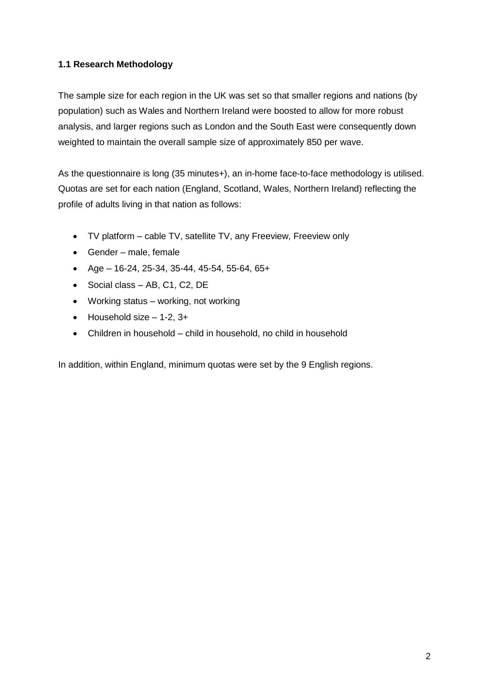## **1.1 Research Methodology**

The sample size for each region in the UK was set so that smaller regions and nations (by population) such as Wales and Northern Ireland were boosted to allow for more robust analysis, and larger regions such as London and the South East were consequently down weighted to maintain the overall sample size of approximately 850 per wave.

As the questionnaire is long (35 minutes+), an in-home face-to-face methodology is utilised. Quotas are set for each nation (England, Scotland, Wales, Northern Ireland) reflecting the profile of adults living in that nation as follows:

- TV platform cable TV, satellite TV, any Freeview, Freeview only
- Gender male, female
- $\bullet$  Age 16-24, 25-34, 35-44, 45-54, 55-64, 65+
- Social class AB, C1, C2, DE
- Working status working, not working
- $\bullet$  Household size  $-1-2$ , 3+
- Children in household child in household, no child in household

In addition, within England, minimum quotas were set by the 9 English regions.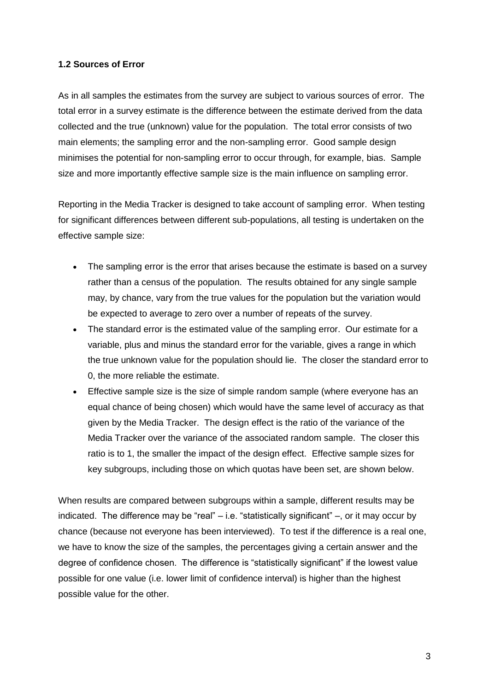#### **1.2 Sources of Error**

As in all samples the estimates from the survey are subject to various sources of error. The total error in a survey estimate is the difference between the estimate derived from the data collected and the true (unknown) value for the population. The total error consists of two main elements; the sampling error and the non-sampling error. Good sample design minimises the potential for non-sampling error to occur through, for example, bias. Sample size and more importantly effective sample size is the main influence on sampling error.

Reporting in the Media Tracker is designed to take account of sampling error. When testing for significant differences between different sub-populations, all testing is undertaken on the effective sample size:

- The sampling error is the error that arises because the estimate is based on a survey rather than a census of the population. The results obtained for any single sample may, by chance, vary from the true values for the population but the variation would be expected to average to zero over a number of repeats of the survey.
- The standard error is the estimated value of the sampling error. Our estimate for a variable, plus and minus the standard error for the variable, gives a range in which the true unknown value for the population should lie. The closer the standard error to 0, the more reliable the estimate.
- Effective sample size is the size of simple random sample (where everyone has an equal chance of being chosen) which would have the same level of accuracy as that given by the Media Tracker. The design effect is the ratio of the variance of the Media Tracker over the variance of the associated random sample. The closer this ratio is to 1, the smaller the impact of the design effect. Effective sample sizes for key subgroups, including those on which quotas have been set, are shown below.

When results are compared between subgroups within a sample, different results may be indicated. The difference may be "real" – i.e. "statistically significant" –, or it may occur by chance (because not everyone has been interviewed). To test if the difference is a real one, we have to know the size of the samples, the percentages giving a certain answer and the degree of confidence chosen. The difference is "statistically significant" if the lowest value possible for one value (i.e. lower limit of confidence interval) is higher than the highest possible value for the other.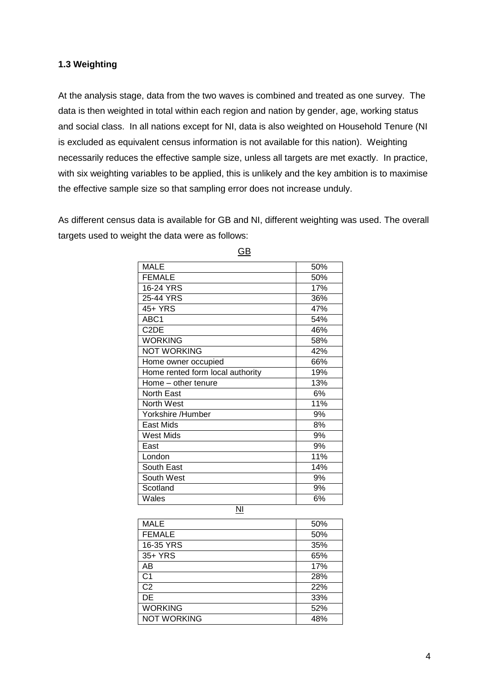#### **1.3 Weighting**

At the analysis stage, data from the two waves is combined and treated as one survey. The data is then weighted in total within each region and nation by gender, age, working status and social class. In all nations except for NI, data is also weighted on Household Tenure (NI is excluded as equivalent census information is not available for this nation). Weighting necessarily reduces the effective sample size, unless all targets are met exactly. In practice, with six weighting variables to be applied, this is unlikely and the key ambition is to maximise the effective sample size so that sampling error does not increase unduly.

As different census data is available for GB and NI, different weighting was used. The overall targets used to weight the data were as follows:

| <b>MALE</b>                      | 50% |  |  |
|----------------------------------|-----|--|--|
| <b>FEMALE</b>                    | 50% |  |  |
| 16-24 YRS                        | 17% |  |  |
| 25-44 YRS                        | 36% |  |  |
| 45+ YRS                          | 47% |  |  |
| ABC1                             | 54% |  |  |
| C <sub>2</sub> DE                | 46% |  |  |
| <b>WORKING</b>                   | 58% |  |  |
| <b>NOT WORKING</b>               | 42% |  |  |
| Home owner occupied              | 66% |  |  |
| Home rented form local authority | 19% |  |  |
| Home - other tenure              | 13% |  |  |
| North East                       | 6%  |  |  |
| North West                       | 11% |  |  |
| Yorkshire /Humber                | 9%  |  |  |
| East Mids                        | 8%  |  |  |
| <b>West Mids</b>                 | 9%  |  |  |
| East                             | 9%  |  |  |
| London                           | 11% |  |  |
| South East                       | 14% |  |  |
| South West                       | 9%  |  |  |
| Scotland                         | 9%  |  |  |
| Wales                            | 6%  |  |  |
| NI                               |     |  |  |

GB

| <b>MALE</b>        | 50% |
|--------------------|-----|
| <b>FEMALE</b>      | 50% |
| 16-35 YRS          | 35% |
| 35+ YRS            | 65% |
| AB                 | 17% |
| C <sub>1</sub>     | 28% |
| C <sub>2</sub>     | 22% |
| DE                 | 33% |
| <b>WORKING</b>     | 52% |
| <b>NOT WORKING</b> | 48% |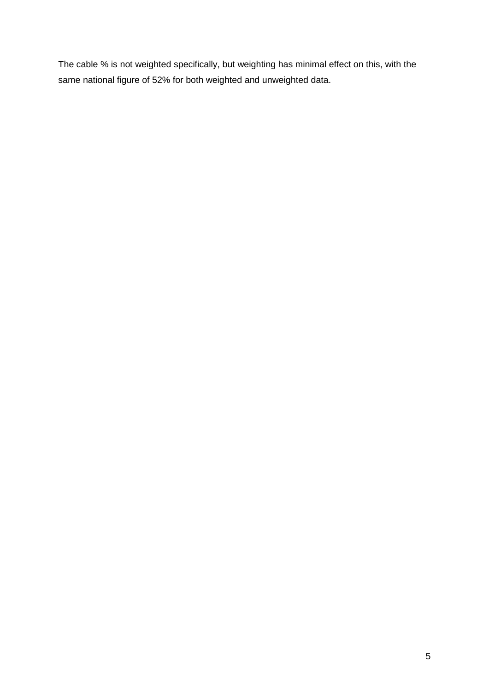The cable % is not weighted specifically, but weighting has minimal effect on this, with the same national figure of 52% for both weighted and unweighted data.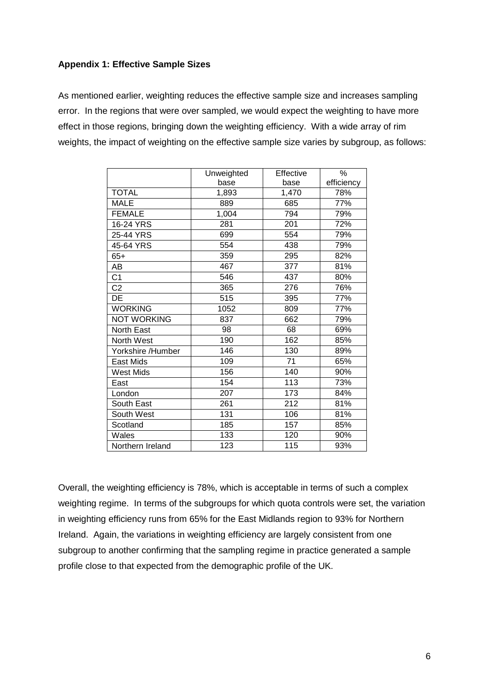### **Appendix 1: Effective Sample Sizes**

As mentioned earlier, weighting reduces the effective sample size and increases sampling error. In the regions that were over sampled, we would expect the weighting to have more effect in those regions, bringing down the weighting efficiency. With a wide array of rim weights, the impact of weighting on the effective sample size varies by subgroup, as follows:

|                    | Unweighted | Effective | %          |
|--------------------|------------|-----------|------------|
|                    | base       | base      | efficiency |
| <b>TOTAL</b>       | 1,893      | 1,470     | 78%        |
| <b>MALE</b>        | 889        | 685       | 77%        |
| <b>FEMALE</b>      | 1,004      | 794       | 79%        |
| 16-24 YRS          | 281        | 201       | 72%        |
| 25-44 YRS          | 699        | 554       | 79%        |
| 45-64 YRS          | 554        | 438       | 79%        |
| $65+$              | 359        | 295       | 82%        |
| AΒ                 | 467        | 377       | 81%        |
| C <sub>1</sub>     | 546        | 437       | 80%        |
| C <sub>2</sub>     | 365        | 276       | 76%        |
| DE                 | 515        | 395       | 77%        |
| <b>WORKING</b>     | 1052       | 809       | 77%        |
| <b>NOT WORKING</b> | 837        | 662       | 79%        |
| <b>North East</b>  | 98         | 68        | 69%        |
| North West         | 190        | 162       | 85%        |
| Yorkshire /Humber  | 146        | 130       | 89%        |
| East Mids          | 109        | 71        | 65%        |
| <b>West Mids</b>   | 156        | 140       | 90%        |
| East               | 154        | 113       | 73%        |
| London             | 207        | 173       | 84%        |
| South East         | 261        | 212       | 81%        |
| South West         | 131        | 106       | 81%        |
| Scotland           | 185        | 157       | 85%        |
| Wales              | 133        | 120       | 90%        |
| Northern Ireland   | 123        | 115       | 93%        |

Overall, the weighting efficiency is 78%, which is acceptable in terms of such a complex weighting regime. In terms of the subgroups for which quota controls were set, the variation in weighting efficiency runs from 65% for the East Midlands region to 93% for Northern Ireland. Again, the variations in weighting efficiency are largely consistent from one subgroup to another confirming that the sampling regime in practice generated a sample profile close to that expected from the demographic profile of the UK.